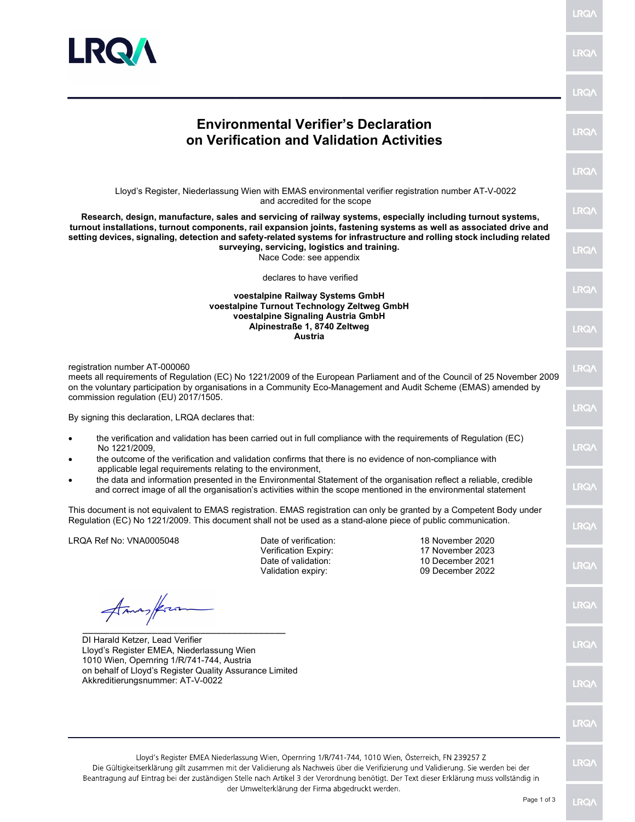

|                                                                                                                                                                                                                                                                                                                                                                                                                                            |                                                                                                     |                                                                                                                                                                                                                                                                                | <b>LRQA</b> |  |
|--------------------------------------------------------------------------------------------------------------------------------------------------------------------------------------------------------------------------------------------------------------------------------------------------------------------------------------------------------------------------------------------------------------------------------------------|-----------------------------------------------------------------------------------------------------|--------------------------------------------------------------------------------------------------------------------------------------------------------------------------------------------------------------------------------------------------------------------------------|-------------|--|
| <b>Environmental Verifier's Declaration</b><br>on Verification and Validation Activities                                                                                                                                                                                                                                                                                                                                                   |                                                                                                     |                                                                                                                                                                                                                                                                                |             |  |
|                                                                                                                                                                                                                                                                                                                                                                                                                                            |                                                                                                     |                                                                                                                                                                                                                                                                                | <b>LRQA</b> |  |
| Lloyd's Register, Niederlassung Wien with EMAS environmental verifier registration number AT-V-0022<br>and accredited for the scope                                                                                                                                                                                                                                                                                                        |                                                                                                     |                                                                                                                                                                                                                                                                                |             |  |
| Research, design, manufacture, sales and servicing of railway systems, especially including turnout systems,<br>turnout installations, turnout components, rail expansion joints, fastening systems as well as associated drive and<br>setting devices, signaling, detection and safety-related systems for infrastructure and rolling stock including related<br>surveying, servicing, logistics and training.<br>Nace Code: see appendix |                                                                                                     |                                                                                                                                                                                                                                                                                |             |  |
|                                                                                                                                                                                                                                                                                                                                                                                                                                            | declares to have verified                                                                           |                                                                                                                                                                                                                                                                                |             |  |
| voestalpine Railway Systems GmbH<br>voestalpine Turnout Technology Zeltweg GmbH                                                                                                                                                                                                                                                                                                                                                            |                                                                                                     |                                                                                                                                                                                                                                                                                |             |  |
|                                                                                                                                                                                                                                                                                                                                                                                                                                            | voestalpine Signaling Austria GmbH<br>Alpinestraße 1, 8740 Zeltweg<br>Austria                       |                                                                                                                                                                                                                                                                                | <b>LRQA</b> |  |
| registration number AT-000060<br>meets all requirements of Regulation (EC) No 1221/2009 of the European Parliament and of the Council of 25 November 2009<br>on the voluntary participation by organisations in a Community Eco-Management and Audit Scheme (EMAS) amended by                                                                                                                                                              |                                                                                                     |                                                                                                                                                                                                                                                                                | <b>LRQA</b> |  |
| commission regulation (EU) 2017/1505.<br>By signing this declaration, LRQA declares that:                                                                                                                                                                                                                                                                                                                                                  |                                                                                                     |                                                                                                                                                                                                                                                                                |             |  |
| the verification and validation has been carried out in full compliance with the requirements of Regulation (EC)<br>٠<br>No 1221/2009,<br>the outcome of the verification and validation confirms that there is no evidence of non-compliance with<br>$\bullet$                                                                                                                                                                            |                                                                                                     |                                                                                                                                                                                                                                                                                |             |  |
| applicable legal requirements relating to the environment,<br>$\bullet$                                                                                                                                                                                                                                                                                                                                                                    |                                                                                                     | the data and information presented in the Environmental Statement of the organisation reflect a reliable, credible<br>and correct image of all the organisation's activities within the scope mentioned in the environmental statement                                         | <b>LRQ/</b> |  |
| Regulation (EC) No 1221/2009. This document shall not be used as a stand-alone piece of public communication.                                                                                                                                                                                                                                                                                                                              |                                                                                                     | This document is not equivalent to EMAS registration. EMAS registration can only be granted by a Competent Body under                                                                                                                                                          | <b>LRQA</b> |  |
| LRQA Ref No: VNA0005048                                                                                                                                                                                                                                                                                                                                                                                                                    | Date of verification:<br>Verification Expiry:                                                       | 18 November 2020<br>17 November 2023                                                                                                                                                                                                                                           |             |  |
|                                                                                                                                                                                                                                                                                                                                                                                                                                            | Date of validation:<br>Validation expiry:                                                           | 10 December 2021<br>09 December 2022                                                                                                                                                                                                                                           | <b>LRQA</b> |  |
| Amas/fra                                                                                                                                                                                                                                                                                                                                                                                                                                   |                                                                                                     |                                                                                                                                                                                                                                                                                | <b>LRQA</b> |  |
| DI Harald Ketzer, Lead Verifier<br>Lloyd's Register EMEA, Niederlassung Wien<br>1010 Wien, Opernring 1/R/741-744, Austria<br>on behalf of Lloyd's Register Quality Assurance Limited<br>Akkreditierungsnummer: AT-V-0022                                                                                                                                                                                                                   |                                                                                                     |                                                                                                                                                                                                                                                                                |             |  |
|                                                                                                                                                                                                                                                                                                                                                                                                                                            |                                                                                                     |                                                                                                                                                                                                                                                                                |             |  |
|                                                                                                                                                                                                                                                                                                                                                                                                                                            | Lloyd's Register EMEA Niederlassung Wien, Opernring 1/R/741-744, 1010 Wien, Österreich, FN 239257 Z | Die Gültigkeitserklärung gilt zusammen mit der Validierung als Nachweis über die Verifizierung und Validierung. Sie werden bei der<br>Beantragung auf Eintrag bei der zuständigen Stelle nach Artikel 3 der Verordnung benötigt. Der Text dieser Erklärung muss vollständig in | <b>LRQA</b> |  |
|                                                                                                                                                                                                                                                                                                                                                                                                                                            | der Umwelterklärung der Firma abgedruckt werden.                                                    |                                                                                                                                                                                                                                                                                |             |  |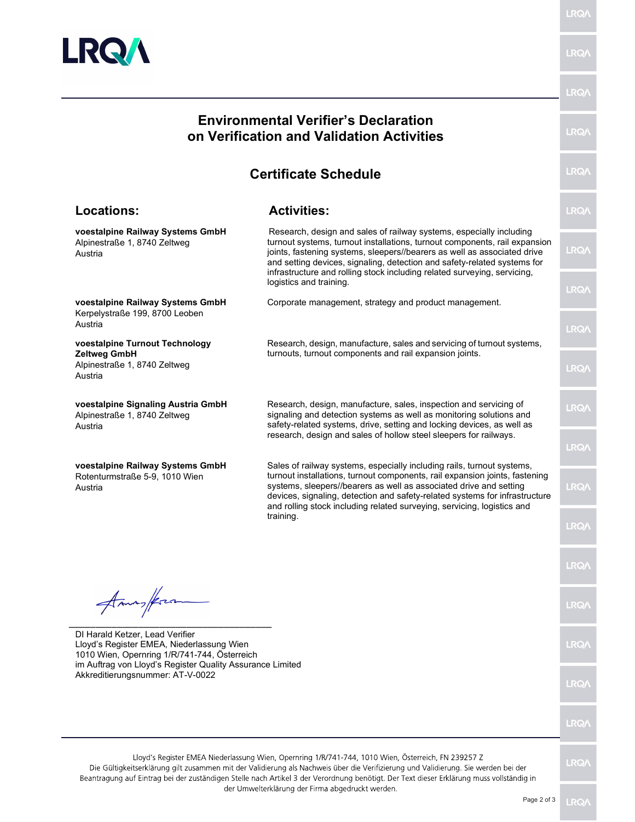

LRQ/

 $RQ$ 

#### $RO$ Environmental Verifier's Declaration on Verification and Validation Activities  $RQ/$ Certificate Schedule Locations: Activities: LRQ/ voestalpine Railway Systems GmbH Research, design and sales of railway systems, especially including turnout systems, turnout installations, turnout components, rail expansion Alpinestraße 1, 8740 Zeltweg LRQ/ joints, fastening systems, sleepers//bearers as well as associated drive Austria and setting devices, signaling, detection and safety-related systems for infrastructure and rolling stock including related surveying, servicing, logistics and training. LRQ/ Corporate management, strategy and product management. voestalpine Railway Systems GmbH Kerpelystraße 199, 8700 Leoben Austria  $RQ/$ voestalpine Turnout Technology Research, design, manufacture, sales and servicing of turnout systems, turnouts, turnout components and rail expansion joints. Zeltweg GmbH Alpinestraße 1, 8740 Zeltweg LRQ/ Austria voestalpine Signaling Austria GmbH Research, design, manufacture, sales, inspection and servicing of LRQ/ signaling and detection systems as well as monitoring solutions and Alpinestraße 1, 8740 Zeltweg safety-related systems, drive, setting and locking devices, as well as Austria research, design and sales of hollow steel sleepers for railways.  $RQ/$ voestalpine Railway Systems GmbH Sales of railway systems, especially including rails, turnout systems, turnout installations, turnout components, rail expansion joints, fastening Rotenturmstraße 5-9, 1010 Wien systems, sleepers//bearers as well as associated drive and setting LRQ/ Austria devices, signaling, detection and safety-related systems for infrastructure and rolling stock including related surveying, servicing, logistics and training.  $RQ$  $RQ/$ Amms/from LRQ/ \_\_\_\_\_\_\_\_\_\_\_\_\_\_\_\_\_\_\_\_\_\_\_\_\_\_\_\_\_\_\_\_\_\_\_\_\_\_ DI Harald Ketzer, Lead Verifier  $RQ$ Lloyd's Register EMEA, Niederlassung Wien 1010 Wien, Opernring 1/R/741-744, Österreich im Auftrag von Lloyd's Register Quality Assurance Limited Akkreditierungsnummer: AT-V-0022 LRQ/

Lloyd's Register EMEA Niederlassung Wien, Opernring 1/R/741-744, 1010 Wien, Österreich, FN 239257 Z Die Gültigkeitserklärung gilt zusammen mit der Validierung als Nachweis über die Verifizierung und Validierung. Sie werden bei der Beantragung auf Eintrag bei der zuständigen Stelle nach Artikel 3 der Verordnung benötigt. Der Text dieser Erklärung muss vollständig in der Umwelterklärung der Firma abgedruckt werden.

 $RQ$ 

LRQ/